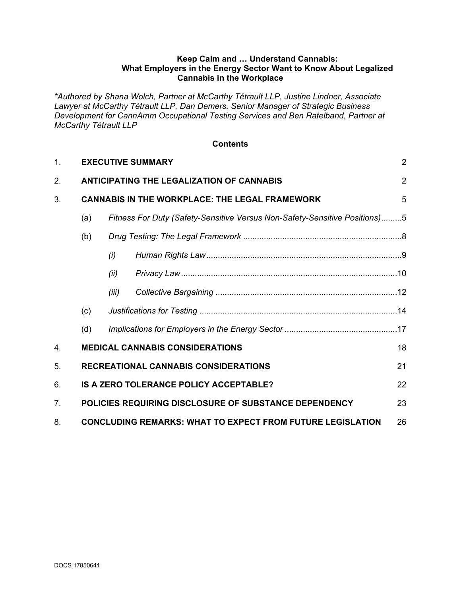#### **Keep Calm and … Understand Cannabis: What Employers in the Energy Sector Want to Know About Legalized Cannabis in the Workplace**

*\*Authored by Shana Wolch, Partner at McCarthy Tétrault LLP, Justine Lindner, Associate Lawyer at McCarthy Tétrault LLP, Dan Demers, Senior Manager of Strategic Business Development for CannAmm Occupational Testing Services and Ben Ratelband, Partner at McCarthy Tétrault LLP*

#### **Contents**

| 1. |                                                       | <b>EXECUTIVE SUMMARY</b>                                                   |  |   |
|----|-------------------------------------------------------|----------------------------------------------------------------------------|--|---|
| 2. |                                                       | <b>ANTICIPATING THE LEGALIZATION OF CANNABIS</b>                           |  |   |
| 3. | <b>CANNABIS IN THE WORKPLACE: THE LEGAL FRAMEWORK</b> |                                                                            |  | 5 |
|    | (a)                                                   | Fitness For Duty (Safety-Sensitive Versus Non-Safety-Sensitive Positions)5 |  |   |
|    | (b)                                                   |                                                                            |  |   |
|    |                                                       | (i)                                                                        |  |   |
|    |                                                       | (ii)                                                                       |  |   |
|    |                                                       | (iii)                                                                      |  |   |
|    | (c)                                                   |                                                                            |  |   |
|    | (d)                                                   |                                                                            |  |   |
| 4. |                                                       | <b>MEDICAL CANNABIS CONSIDERATIONS</b>                                     |  |   |
| 5. |                                                       | <b>RECREATIONAL CANNABIS CONSIDERATIONS</b><br>21                          |  |   |
| 6. |                                                       | IS A ZERO TOLERANCE POLICY ACCEPTABLE?<br>22                               |  |   |
| 7. |                                                       | POLICIES REQUIRING DISCLOSURE OF SUBSTANCE DEPENDENCY<br>23                |  |   |
| 8. |                                                       | <b>CONCLUDING REMARKS: WHAT TO EXPECT FROM FUTURE LEGISLATION</b><br>26    |  |   |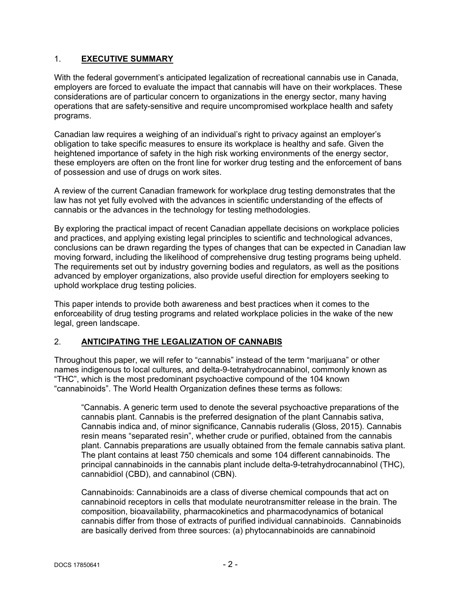## <span id="page-1-0"></span>1. **EXECUTIVE SUMMARY**

With the federal government's anticipated legalization of recreational cannabis use in Canada, employers are forced to evaluate the impact that cannabis will have on their workplaces. These considerations are of particular concern to organizations in the energy sector, many having operations that are safety-sensitive and require uncompromised workplace health and safety programs.

Canadian law requires a weighing of an individual's right to privacy against an employer's obligation to take specific measures to ensure its workplace is healthy and safe. Given the heightened importance of safety in the high risk working environments of the energy sector, these employers are often on the front line for worker drug testing and the enforcement of bans of possession and use of drugs on work sites.

A review of the current Canadian framework for workplace drug testing demonstrates that the law has not yet fully evolved with the advances in scientific understanding of the effects of cannabis or the advances in the technology for testing methodologies.

By exploring the practical impact of recent Canadian appellate decisions on workplace policies and practices, and applying existing legal principles to scientific and technological advances, conclusions can be drawn regarding the types of changes that can be expected in Canadian law moving forward, including the likelihood of comprehensive drug testing programs being upheld. The requirements set out by industry governing bodies and regulators, as well as the positions advanced by employer organizations, also provide useful direction for employers seeking to uphold workplace drug testing policies.

This paper intends to provide both awareness and best practices when it comes to the enforceability of drug testing programs and related workplace policies in the wake of the new legal, green landscape.

#### <span id="page-1-1"></span>2. **ANTICIPATING THE LEGALIZATION OF CANNABIS**

Throughout this paper, we will refer to "cannabis" instead of the term "marijuana" or other names indigenous to local cultures, and delta-9-tetrahydrocannabinol, commonly known as "THC", which is the most predominant psychoactive compound of the 104 known "cannabinoids". The World Health Organization defines these terms as follows:

"Cannabis. A generic term used to denote the several psychoactive preparations of the cannabis plant. Cannabis is the preferred designation of the plant Cannabis sativa, Cannabis indica and, of minor significance, Cannabis ruderalis (Gloss, 2015). Cannabis resin means "separated resin", whether crude or purified, obtained from the cannabis plant. Cannabis preparations are usually obtained from the female cannabis sativa plant. The plant contains at least 750 chemicals and some 104 different cannabinoids. The principal cannabinoids in the cannabis plant include delta-9-tetrahydrocannabinol (THC), cannabidiol (CBD), and cannabinol (CBN).

Cannabinoids: Cannabinoids are a class of diverse chemical compounds that act on cannabinoid receptors in cells that modulate neurotransmitter release in the brain. The composition, bioavailability, pharmacokinetics and pharmacodynamics of botanical cannabis differ from those of extracts of purified individual cannabinoids. Cannabinoids are basically derived from three sources: (a) phytocannabinoids are cannabinoid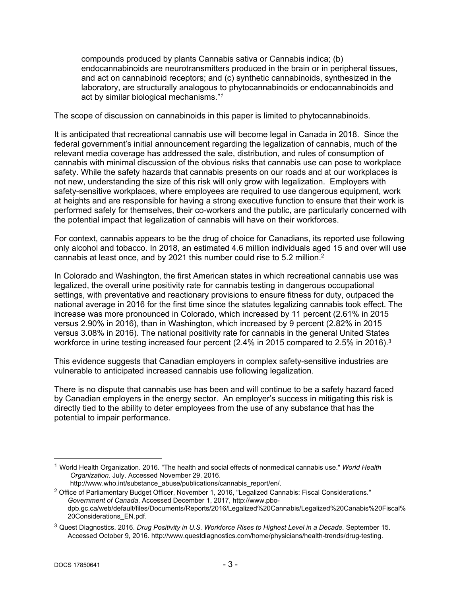compounds produced by plants Cannabis sativa or Cannabis indica; (b) endocannabinoids are neurotransmitters produced in the brain or in peripheral tissues, and act on cannabinoid receptors; and (c) synthetic cannabinoids, synthesized in the laboratory, are structurally analogous to phytocannabinoids or endocannabinoids and act by similar biological mechanisms."*<sup>1</sup>* 

The scope of discussion on cannabinoids in this paper is limited to phytocannabinoids.

It is anticipated that recreational cannabis use will become legal in Canada in 2018. Since the federal government's initial announcement regarding the legalization of cannabis, much of the relevant media coverage has addressed the sale, distribution, and rules of consumption of cannabis with minimal discussion of the obvious risks that cannabis use can pose to workplace safety. While the safety hazards that cannabis presents on our roads and at our workplaces is not new, understanding the size of this risk will only grow with legalization. Employers with safety-sensitive workplaces, where employees are required to use dangerous equipment, work at heights and are responsible for having a strong executive function to ensure that their work is performed safely for themselves, their co-workers and the public, are particularly concerned with the potential impact that legalization of cannabis will have on their workforces.

For context, cannabis appears to be the drug of choice for Canadians, its reported use following only alcohol and tobacco. In 2018, an estimated 4.6 million individuals aged 15 and over will use cannabis at least once, and by 2021 this number could rise to 5.2 million. $2$ 

In Colorado and Washington, the first American states in which recreational cannabis use was legalized, the overall urine positivity rate for cannabis testing in dangerous occupational settings, with preventative and reactionary provisions to ensure fitness for duty, outpaced the national average in 2016 for the first time since the statutes legalizing cannabis took effect. The increase was more pronounced in Colorado, which increased by 11 percent (2.61% in 2015 versus 2.90% in 2016), than in Washington, which increased by 9 percent (2.82% in 2015 versus 3.08% in 2016). The national positivity rate for cannabis in the general United States workforce in urine testing increased four percent (2.4% in 2015 compared to 2.5% in 2016).<sup>3</sup>

This evidence suggests that Canadian employers in complex safety-sensitive industries are vulnerable to anticipated increased cannabis use following legalization.

There is no dispute that cannabis use has been and will continue to be a safety hazard faced by Canadian employers in the energy sector. An employer's success in mitigating this risk is directly tied to the ability to deter employees from the use of any substance that has the potential to impair performance.

<sup>1</sup> World Health Organization. 2016. "The health and social effects of nonmedical cannabis use." *World Health Organization.* July. Accessed November 29, 2016.

http://www.who.int/substance\_abuse/publications/cannabis\_report/en/.

<sup>&</sup>lt;sup>2</sup> Office of Parliamentary Budget Officer, November 1, 2016, "Legalized Cannabis: Fiscal Considerations." *Government of Canada*, Accessed December 1, 2017, http://www.pbodpb.gc.ca/web/default/files/Documents/Reports/2016/Legalized%20Cannabis/Legalized%20Canabis%20Fiscal% 20Considerations\_EN.pdf.

<sup>3</sup> Quest Diagnostics. 2016. *Drug Positivity in U.S. Workforce Rises to Highest Level in a Decade.* September 15. Accessed October 9, 2016. http://www.questdiagnostics.com/home/physicians/health-trends/drug-testing.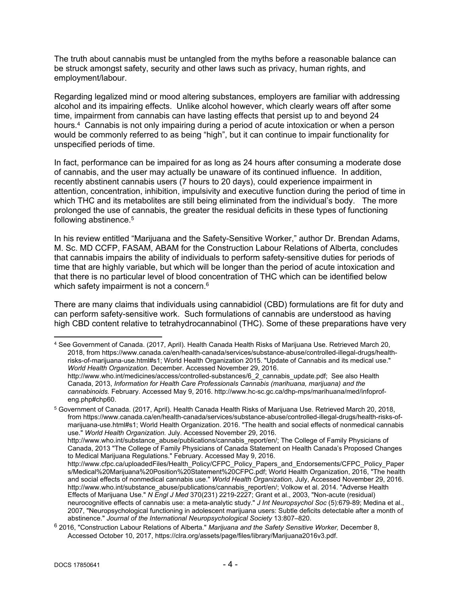The truth about cannabis must be untangled from the myths before a reasonable balance can be struck amongst safety, security and other laws such as privacy, human rights, and employment/labour.

Regarding legalized mind or mood altering substances, employers are familiar with addressing alcohol and its impairing effects. Unlike alcohol however, which clearly wears off after some time, impairment from cannabis can have lasting effects that persist up to and beyond 24 hours.<sup>4</sup> Cannabis is not only impairing during a period of acute intoxication or when a person would be commonly referred to as being "high", but it can continue to impair functionality for unspecified periods of time.

In fact, performance can be impaired for as long as 24 hours after consuming a moderate dose of cannabis, and the user may actually be unaware of its continued influence. In addition, recently abstinent cannabis users (7 hours to 20 days), could experience impairment in attention, concentration, inhibition, impulsivity and executive function during the period of time in which THC and its metabolites are still being eliminated from the individual's body. The more prolonged the use of cannabis, the greater the residual deficits in these types of functioning following abstinence.<sup>5</sup>

In his review entitled "Marijuana and the Safety-Sensitive Worker," author Dr. Brendan Adams, M. Sc. MD CCFP, FASAM, ABAM for the Construction Labour Relations of Alberta, concludes that cannabis impairs the ability of individuals to perform safety-sensitive duties for periods of time that are highly variable, but which will be longer than the period of acute intoxication and that there is no particular level of blood concentration of THC which can be identified below which safety impairment is not a concern.<sup>6</sup>

There are many claims that individuals using cannabidiol (CBD) formulations are fit for duty and can perform safety-sensitive work. Such formulations of cannabis are understood as having high CBD content relative to tetrahydrocannabinol (THC). Some of these preparations have very

http://www.who.int/substance\_abuse/publications/cannabis\_report/en/; The College of Family Physicians of Canada, 2013 "The College of Family Physicians of Canada Statement on Health Canada's Proposed Changes to Medical Marijuana Regulations." February. Accessed May 9, 2016.

<sup>4</sup> See Government of Canada. (2017, April). Health Canada Health Risks of Marijuana Use. Retrieved March 20, 2018, from https://www.canada.ca/en/health-canada/services/substance-abuse/controlled-illegal-drugs/healthrisks-of-marijuana-use.html#s1; World Health Organization 2015. "Update of Cannabis and its medical use." *World Health Organization.* December. Accessed November 29, 2016. http://www.who.int/medicines/access/controlled-substances/6\_2\_cannabis\_update.pdf;See also Health Canada, 2013, *Information for Health Care Professionals Cannabis (marihuana, marijuana) and the cannabinoids.* February. Accessed May 9, 2016. http://www.hc-sc.gc.ca/dhp-mps/marihuana/med/infoprofeng.php#chp60.

<sup>5</sup> Government of Canada. (2017, April). Health Canada Health Risks of Marijuana Use. Retrieved March 20, 2018, from https://www.canada.ca/en/health-canada/services/substance-abuse/controlled-illegal-drugs/health-risks-ofmarijuana-use.html#s1; World Health Organization. 2016. "The health and social effects of nonmedical cannabis use." *World Health Organization.* July. Accessed November 29, 2016.

http://www.cfpc.ca/uploadedFiles/Health\_Policy/CFPC\_Policy\_Papers\_and\_Endorsements/CFPC\_Policy\_Paper s/Medical%20Marijuana%20Position%20Statement%20CFPC.pdf; World Health Organization, 2016, "The health and social effects of nonmedical cannabis use." *World Health Organization,* July, Accessed November 29, 2016. http://www.who.int/substance\_abuse/publications/cannabis\_report/en/; Volkow et al. 2014. "Adverse Health Effects of Marijuana Use." *N Engl J Med* 370(231) 2219-2227; Grant et al., 2003, "Non-acute (residual) neurocognitive effects of cannabis use: a meta-analytic study." *J Int Neuropsychol Soc* (5):679-89; Medina et al., 2007, "Neuropsychological functioning in adolescent marijuana users: Subtle deficits detectable after a month of abstinence." *Journal of the International Neuropsychological Society* 13:807–820.

<sup>6</sup> 2016, "Construction Labour Relations of Alberta." *Marijuana and the Safety Sensitive Worker,* December 8, Accessed October 10, 2017, https://clra.org/assets/page/files/library/Marijuana2016v3.pdf.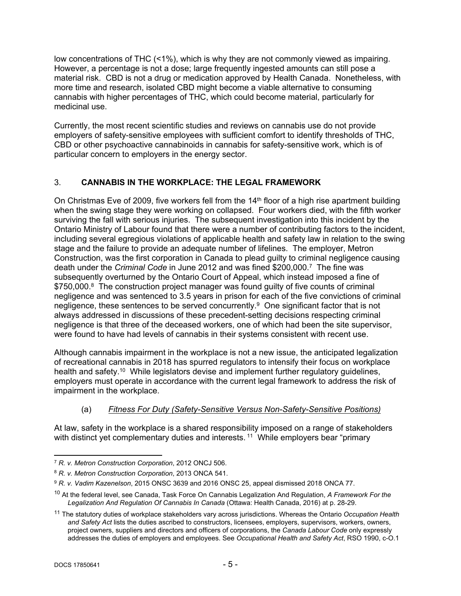low concentrations of THC (<1%), which is why they are not commonly viewed as impairing. However, a percentage is not a dose; large frequently ingested amounts can still pose a material risk. CBD is not a drug or medication approved by Health Canada. Nonetheless, with more time and research, isolated CBD might become a viable alternative to consuming cannabis with higher percentages of THC, which could become material, particularly for medicinal use.

Currently, the most recent scientific studies and reviews on cannabis use do not provide employers of safety-sensitive employees with sufficient comfort to identify thresholds of THC, CBD or other psychoactive cannabinoids in cannabis for safety-sensitive work, which is of particular concern to employers in the energy sector.

# <span id="page-4-0"></span>3. **CANNABIS IN THE WORKPLACE: THE LEGAL FRAMEWORK**

On Christmas Eve of 2009, five workers fell from the 14<sup>th</sup> floor of a high rise apartment building when the swing stage they were working on collapsed. Four workers died, with the fifth worker surviving the fall with serious injuries. The subsequent investigation into this incident by the Ontario Ministry of Labour found that there were a number of contributing factors to the incident, including several egregious violations of applicable health and safety law in relation to the swing stage and the failure to provide an adequate number of lifelines. The employer, Metron Construction, was the first corporation in Canada to plead guilty to criminal negligence causing death under the *Criminal Code* in June 2012 and was fined \$200,000.<sup>7</sup> The fine was subsequently overturned by the Ontario Court of Appeal, which instead imposed a fine of \$750,000.<sup>8</sup> The construction project manager was found guilty of five counts of criminal negligence and was sentenced to 3.5 years in prison for each of the five convictions of criminal negligence, these sentences to be served concurrently.<sup>9</sup> One significant factor that is not always addressed in discussions of these precedent-setting decisions respecting criminal negligence is that three of the deceased workers, one of which had been the site supervisor, were found to have had levels of cannabis in their systems consistent with recent use.

Although cannabis impairment in the workplace is not a new issue, the anticipated legalization of recreational cannabis in 2018 has spurred regulators to intensify their focus on workplace health and safety.<sup>10</sup> While legislators devise and implement further regulatory guidelines, employers must operate in accordance with the current legal framework to address the risk of impairment in the workplace.

#### <span id="page-4-1"></span>(a) *Fitness For Duty (Safety-Sensitive Versus Non-Safety-Sensitive Positions)*

At law, safety in the workplace is a shared responsibility imposed on a range of stakeholders with distinct yet complementary duties and interests.<sup>11</sup> While employers bear "primary

<sup>7</sup> *R. v. Metron Construction Corporation*, 2012 ONCJ 506.

<sup>8</sup> *R. v. Metron Construction Corporation*, 2013 ONCA 541.

<sup>9</sup> *R. v. Vadim Kazenelson*, 2015 ONSC 3639 and 2016 ONSC 25, appeal dismissed 2018 ONCA 77.

<sup>10</sup> At the federal level, see Canada, Task Force On Cannabis Legalization And Regulation, *A Framework For the Legalization And Regulation Of Cannabis In Canada* (Ottawa: Health Canada, 2016) at p. 28-29.

<sup>11</sup> The statutory duties of workplace stakeholders vary across jurisdictions. Whereas the Ontario *Occupation Health and Safety Act* lists the duties ascribed to constructors, licensees, employers, supervisors, workers, owners, project owners, suppliers and directors and officers of corporations, the *Canada Labour Code* only expressly addresses the duties of employers and employees. See *Occupational Health and Safety Act*, RSO 1990, c-O.1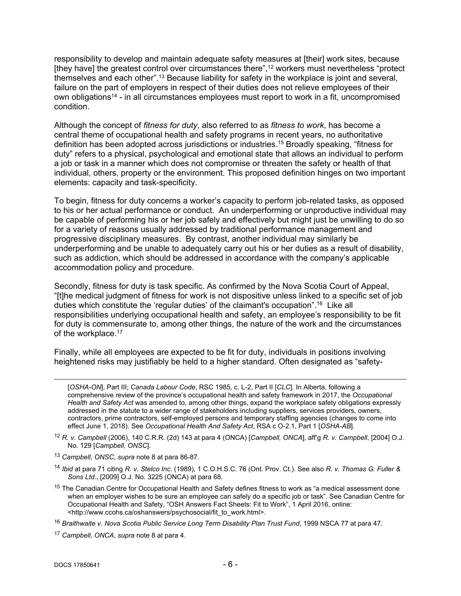responsibility to develop and maintain adequate safety measures at [their] work sites, because [they have] the greatest control over circumstances there",<sup>12</sup> workers must nevertheless "protect themselves and each other".<sup>13</sup> Because liability for safety in the workplace is joint and several, failure on the part of employers in respect of their duties does not relieve employees of their own obligations<sup>14</sup> - in all circumstances employees must report to work in a fit, uncompromised condition.

Although the concept of *fitness for duty*, also referred to as *fitness to work*, has become a central theme of occupational health and safety programs in recent years, no authoritative definition has been adopted across jurisdictions or industries.<sup>15</sup> Broadly speaking, "fitness for duty" refers to a physical, psychological and emotional state that allows an individual to perform a job or task in a manner which does not compromise or threaten the safety or health of that individual, others, property or the environment. This proposed definition hinges on two important elements: capacity and task-specificity.

To begin, fitness for duty concerns a worker's capacity to perform job-related tasks, as opposed to his or her actual performance or conduct. An underperforming or unproductive individual may be capable of performing his or her job safely and effectively but might just be unwilling to do so for a variety of reasons usually addressed by traditional performance management and progressive disciplinary measures. By contrast, another individual may similarly be underperforming and be unable to adequately carry out his or her duties as a result of disability, such as addiction, which should be addressed in accordance with the company's applicable accommodation policy and procedure.

Secondly, fitness for duty is task specific. As confirmed by the Nova Scotia Court of Appeal, "[t]he medical judgment of fitness for work is not dispositive unless linked to a specific set of job duties which constitute the 'regular duties' of the claimant's occupation".<sup>16</sup> Like all responsibilities underlying occupational health and safety, an employee's responsibility to be fit for duty is commensurate to, among other things, the nature of the work and the circumstances of the workplace.<sup>17</sup>

Finally, while all employees are expected to be fit for duty, individuals in positions involving heightened risks may justifiably be held to a higher standard. Often designated as "safety-

[*OSHA-ON*], Part III; *Canada Labour Code*, RSC 1985, c. L-2, Part II [*CLC*]. In Alberta, following a comprehensive review of the province's occupational health and safety framework in 2017, the *Occupational Health and Safety Act* was amended to, among other things, expand the workplace safety obligations expressly addressed in the statute to a wider range of stakeholders including suppliers, services providers, owners, contractors, prime contractors, self-employed persons and temporary staffing agencies (changes to come into effect June 1, 2018). See *Occupational Health And Safety Act*, RSA c O-2.1, Part 1 [*OSHA-AB*].

- <sup>12</sup> *R. v. Campbell* (2006), 140 C.R.R. (2d) 143 at para 4 (ONCA) [*Campbell, ONCA*], aff'g *R. v. Campbell*, [2004] O.J. No. 129 [*Campbell, ONSC*].
- <sup>13</sup> *Campbell, ONSC*, *supra* note 8 at para 86-87.
- <sup>14</sup> *Ibid* at para 71 citing *R. v. Stelco Inc.* (1989), 1 C.O.H.S.C. 76 (Ont. Prov. Ct.). See also *R. v. Thomas G. Fuller & Sons Ltd.*, [2009] O.J. No. 3225 (ONCA) at para 68.
- <sup>15</sup> The Canadian Centre for Occupational Health and Safety defines fitness to work as "a medical assessment done when an employer wishes to be sure an employee can safely do a specific job or task". See Canadian Centre for Occupational Health and Safety, "OSH Answers Fact Sheets: Fit to Work", 1 April 2016, online: <http://www.ccohs.ca/oshanswers/psychosocial/fit\_to\_work.html>.
- <sup>16</sup> *Braithwaite v. Nova Scotia Public Service Long Term Disability Plan Trust Fund*, 1999 NSCA 77 at para 47.
- <sup>17</sup> *Campbell, ONCA*, *supra* note 8 at para 4.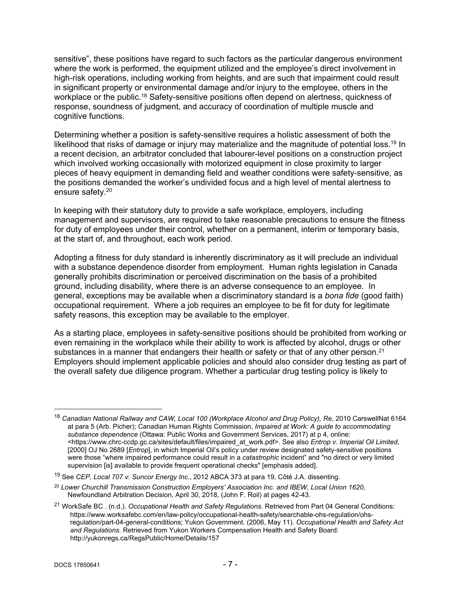sensitive", these positions have regard to such factors as the particular dangerous environment where the work is performed, the equipment utilized and the employee's direct involvement in high-risk operations, including working from heights, and are such that impairment could result in significant property or environmental damage and/or injury to the employee, others in the workplace or the public.<sup>18</sup> Safety-sensitive positions often depend on alertness, quickness of response, soundness of judgment, and accuracy of coordination of multiple muscle and cognitive functions.

Determining whether a position is safety-sensitive requires a holistic assessment of both the likelihood that risks of damage or injury may materialize and the magnitude of potential loss.<sup>19</sup> In a recent decision, an arbitrator concluded that labourer-level positions on a construction project which involved working occasionally with motorized equipment in close proximity to larger pieces of heavy equipment in demanding field and weather conditions were safety-sensitive, as the positions demanded the worker's undivided focus and a high level of mental alertness to ensure safety.<sup>20</sup>

In keeping with their statutory duty to provide a safe workplace, employers, including management and supervisors, are required to take reasonable precautions to ensure the fitness for duty of employees under their control, whether on a permanent, interim or temporary basis, at the start of, and throughout, each work period.

Adopting a fitness for duty standard is inherently discriminatory as it will preclude an individual with a substance dependence disorder from employment. Human rights legislation in Canada generally prohibits discrimination or perceived discrimination on the basis of a prohibited ground, including disability, where there is an adverse consequence to an employee. In general, exceptions may be available when a discriminatory standard is a *bona fide* (good faith) occupational requirement. Where a job requires an employee to be fit for duty for legitimate safety reasons, this exception may be available to the employer.

As a starting place, employees in safety-sensitive positions should be prohibited from working or even remaining in the workplace while their ability to work is affected by alcohol, drugs or other substances in a manner that endangers their health or safety or that of any other person.<sup>21</sup> Employers should implement applicable policies and should also consider drug testing as part of the overall safety due diligence program. Whether a particular drug testing policy is likely to

<sup>18</sup> *Canadian National Railway and CAW, Local 100 (Workplace Alcohol and Drug Policy), Re*, 2010 CarswellNat 6164 at para 5 (Arb. Picher); Canadian Human Rights Commission, *Impaired at Work: A guide to accommodating substance dependence* (Ottawa: Public Works and Government Services, 2017) at p 4, online: <https://www.chrc-ccdp.gc.ca/sites/default/files/impaired\_at\_work.pdf>. See also *Entrop v. Imperial Oil Limited*, [2000] OJ No 2689 [*Entrop*], in which Imperial Oil's policy under review designated safety-sensitive positions were those "where impaired performance could result in a *catastrophic* incident" and "no direct or very limited supervision [is] available to provide frequent operational checks" [emphasis added].

<sup>19</sup> See *CEP, Local 707 v. Suncor Energy Inc.*, 2012 ABCA 373 at para 19, Côté J.A. dissenting.

<sup>20</sup> *Lower Churchill Transmission Construction Employers' Association Inc. and IBEW, Local Union 1620*, Newfoundland Arbitration Decision, April 30, 2018, (John F. Roil) at pages 42-43.

<sup>21</sup> WorkSafe BC . (n.d.). *Occupational Health and Safety Regulations*. Retrieved from Part 04 General Conditions: https://www.worksafebc.com/en/law-policy/occupational-health-safety/searchable-ohs-regulation/ohsregulation/part-04-general-conditions; Yukon Government. (2006, May 11). *Occupational Health and Safety Act and Regulations*. Retrieved from Yukon Workers Compensation Health and Safety Board: http://yukonregs.ca/RegsPublic/Home/Details/157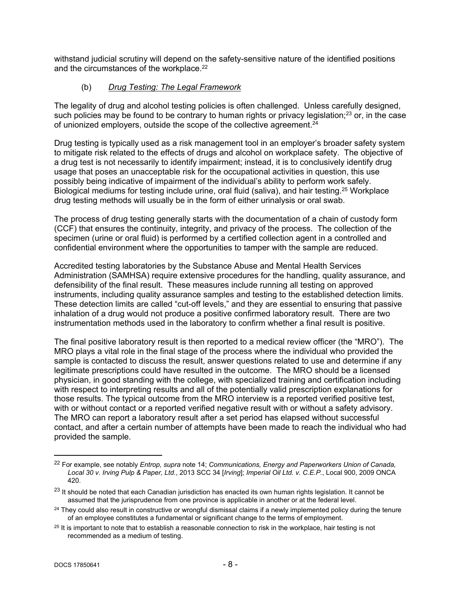withstand judicial scrutiny will depend on the safety-sensitive nature of the identified positions and the circumstances of the workplace.<sup>22</sup>

### <span id="page-7-0"></span>(b) *Drug Testing: The Legal Framework*

The legality of drug and alcohol testing policies is often challenged. Unless carefully designed, such policies may be found to be contrary to human rights or privacy legislation;<sup>23</sup> or, in the case of unionized employers, outside the scope of the collective agreement.<sup>24</sup>

Drug testing is typically used as a risk management tool in an employer's broader safety system to mitigate risk related to the effects of drugs and alcohol on workplace safety. The objective of a drug test is not necessarily to identify impairment; instead, it is to conclusively identify drug usage that poses an unacceptable risk for the occupational activities in question, this use possibly being indicative of impairment of the individual's ability to perform work safely. Biological mediums for testing include urine, oral fluid (saliva), and hair testing.<sup>25</sup> Workplace drug testing methods will usually be in the form of either urinalysis or oral swab.

The process of drug testing generally starts with the documentation of a chain of custody form (CCF) that ensures the continuity, integrity, and privacy of the process. The collection of the specimen (urine or oral fluid) is performed by a certified collection agent in a controlled and confidential environment where the opportunities to tamper with the sample are reduced.

Accredited testing laboratories by the Substance Abuse and Mental Health Services Administration (SAMHSA) require extensive procedures for the handling, quality assurance, and defensibility of the final result. These measures include running all testing on approved instruments, including quality assurance samples and testing to the established detection limits. These detection limits are called "cut-off levels," and they are essential to ensuring that passive inhalation of a drug would not produce a positive confirmed laboratory result. There are two instrumentation methods used in the laboratory to confirm whether a final result is positive.

The final positive laboratory result is then reported to a medical review officer (the "MRO"). The MRO plays a vital role in the final stage of the process where the individual who provided the sample is contacted to discuss the result, answer questions related to use and determine if any legitimate prescriptions could have resulted in the outcome. The MRO should be a licensed physician, in good standing with the college, with specialized training and certification including with respect to interpreting results and all of the potentially valid prescription explanations for those results. The typical outcome from the MRO interview is a reported verified positive test, with or without contact or a reported verified negative result with or without a safety advisory. The MRO can report a laboratory result after a set period has elapsed without successful contact, and after a certain number of attempts have been made to reach the individual who had provided the sample.

<sup>22</sup> For example, see notably *Entrop, supra* note 14; *Communications, Energy and Paperworkers Union of Canada, Local 30 v. Irving Pulp & Paper, Ltd.*, 2013 SCC 34 [*Irving*]; *Imperial Oil Ltd. v. C.E.P.*, Local 900, 2009 ONCA 420.

<sup>&</sup>lt;sup>23</sup> It should be noted that each Canadian jurisdiction has enacted its own human rights legislation. It cannot be assumed that the jurisprudence from one province is applicable in another or at the federal level.

<sup>&</sup>lt;sup>24</sup> They could also result in constructive or wrongful dismissal claims if a newly implemented policy during the tenure of an employee constitutes a fundamental or significant change to the terms of employment.

<sup>&</sup>lt;sup>25</sup> It is important to note that to establish a reasonable connection to risk in the workplace, hair testing is not recommended as a medium of testing.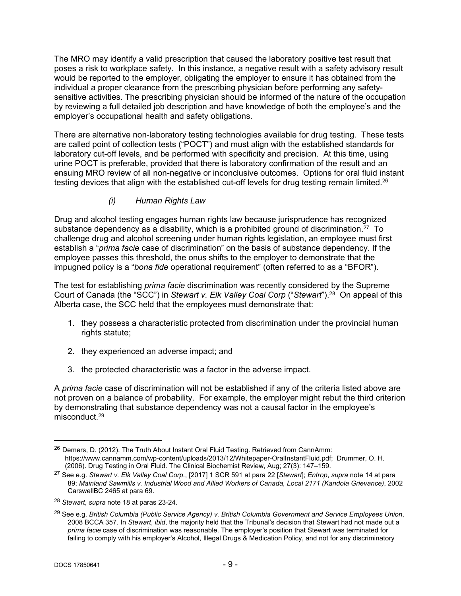The MRO may identify a valid prescription that caused the laboratory positive test result that poses a risk to workplace safety. In this instance, a negative result with a safety advisory result would be reported to the employer, obligating the employer to ensure it has obtained from the individual a proper clearance from the prescribing physician before performing any safetysensitive activities. The prescribing physician should be informed of the nature of the occupation by reviewing a full detailed job description and have knowledge of both the employee's and the employer's occupational health and safety obligations.

There are alternative non-laboratory testing technologies available for drug testing. These tests are called point of collection tests ("POCT") and must align with the established standards for laboratory cut-off levels, and be performed with specificity and precision. At this time, using urine POCT is preferable, provided that there is laboratory confirmation of the result and an ensuing MRO review of all non-negative or inconclusive outcomes. Options for oral fluid instant testing devices that align with the established cut-off levels for drug testing remain limited.<sup>26</sup>

### <span id="page-8-0"></span>*(i) Human Rights Law*

Drug and alcohol testing engages human rights law because jurisprudence has recognized substance dependency as a disability, which is a prohibited ground of discrimination.<sup>27</sup> To challenge drug and alcohol screening under human rights legislation, an employee must first establish a "*prima facie* case of discrimination" on the basis of substance dependency. If the employee passes this threshold, the onus shifts to the employer to demonstrate that the impugned policy is a "*bona fide* operational requirement" (often referred to as a "BFOR").

The test for establishing *prima facie* discrimination was recently considered by the Supreme Court of Canada (the "SCC") in *Stewart v. Elk Valley Coal Corp* ("*Stewart*").<sup>28</sup> On appeal of this Alberta case, the SCC held that the employees must demonstrate that:

- 1. they possess a characteristic protected from discrimination under the provincial human rights statute;
- 2. they experienced an adverse impact; and
- 3. the protected characteristic was a factor in the adverse impact.

A *prima facie* case of discrimination will not be established if any of the criteria listed above are not proven on a balance of probability. For example, the employer might rebut the third criterion by demonstrating that substance dependency was not a causal factor in the employee's misconduct.<sup>29</sup>

<sup>26</sup> Demers, D. (2012). The Truth About Instant Oral Fluid Testing. Retrieved from CannAmm: https://www.cannamm.com/wp-content/uploads/2013/12/Whitepaper-OralInstantFluid.pdf; Drummer, O. H. (2006). Drug Testing in Oral Fluid. The Clinical Biochemist Review, Aug; 27(3): 147–159.

<sup>27</sup> See e.g. *Stewart v. Elk Valley Coal Corp.*, [2017] 1 SCR 591 at para 22 [*Stewart*]; *Entrop*, *supra* note 14 at para 89; *Mainland Sawmills v. Industrial Wood and Allied Workers of Canada, Local 2171 (Kandola Grievance)*, 2002 CarswellBC 2465 at para 69.

<sup>28</sup> *Stewart*, *supra* note 18 at paras 23-24.

<sup>29</sup> See e.g. *British Columbia (Public Service Agency) v. British Columbia Government and Service Employees Union*, 2008 BCCA 357. In *Stewart*, *ibid*, the majority held that the Tribunal's decision that Stewart had not made out a *prima facie* case of discrimination was reasonable. The employer's position that Stewart was terminated for failing to comply with his employer's Alcohol, Illegal Drugs & Medication Policy, and not for any discriminatory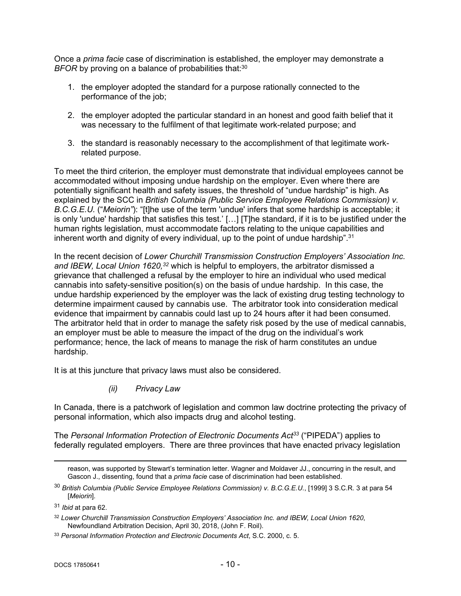Once a *prima facie* case of discrimination is established, the employer may demonstrate a *BFOR* by proving on a balance of probabilities that:<sup>30</sup>

- 1. the employer adopted the standard for a purpose rationally connected to the performance of the job;
- 2. the employer adopted the particular standard in an honest and good faith belief that it was necessary to the fulfilment of that legitimate work-related purpose; and
- 3. the standard is reasonably necessary to the accomplishment of that legitimate workrelated purpose.

To meet the third criterion, the employer must demonstrate that individual employees cannot be accommodated without imposing undue hardship on the employer. Even where there are potentially significant health and safety issues, the threshold of "undue hardship" is high. As explained by the SCC in *British Columbia (Public Service Employee Relations Commission) v. B.C.G.E.U.* ("*Meiorin"*): "[t]he use of the term 'undue' infers that some hardship is acceptable; it is only 'undue' hardship that satisfies this test.' […] [T]he standard, if it is to be justified under the human rights legislation, must accommodate factors relating to the unique capabilities and inherent worth and dignity of every individual, up to the point of undue hardship".<sup>31</sup>

In the recent decision of *Lower Churchill Transmission Construction Employers' Association Inc. and IBEW, Local Union 1620,<sup>32</sup>* which is helpful to employers, the arbitrator dismissed a grievance that challenged a refusal by the employer to hire an individual who used medical cannabis into safety-sensitive position(s) on the basis of undue hardship. In this case, the undue hardship experienced by the employer was the lack of existing drug testing technology to determine impairment caused by cannabis use. The arbitrator took into consideration medical evidence that impairment by cannabis could last up to 24 hours after it had been consumed. The arbitrator held that in order to manage the safety risk posed by the use of medical cannabis, an employer must be able to measure the impact of the drug on the individual's work performance; hence, the lack of means to manage the risk of harm constitutes an undue hardship.

It is at this juncture that privacy laws must also be considered.

<span id="page-9-0"></span>*(ii) Privacy Law*

In Canada, there is a patchwork of legislation and common law doctrine protecting the privacy of personal information, which also impacts drug and alcohol testing.

The *Personal Information Protection of Electronic Documents Act<sup>33</sup>* ("PIPEDA") applies to federally regulated employers. There are three provinces that have enacted privacy legislation

reason, was supported by Stewart's termination letter. Wagner and Moldaver JJ., concurring in the result, and Gascon J., dissenting, found that a *prima facie* case of discrimination had been established.

<sup>30</sup> *British Columbia (Public Service Employee Relations Commission) v. B.C.G.E.U.*, [1999] 3 S.C.R. 3 at para 54 [*Meiorin*].

<sup>31</sup> *Ibid* at para 62.

<sup>32</sup> *Lower Churchill Transmission Construction Employers' Association Inc. and IBEW, Local Union 1620*, Newfoundland Arbitration Decision, April 30, 2018, (John F. Roil).

<sup>33</sup> *Personal Information Protection and Electronic Documents Act*, S.C. 2000, c. 5.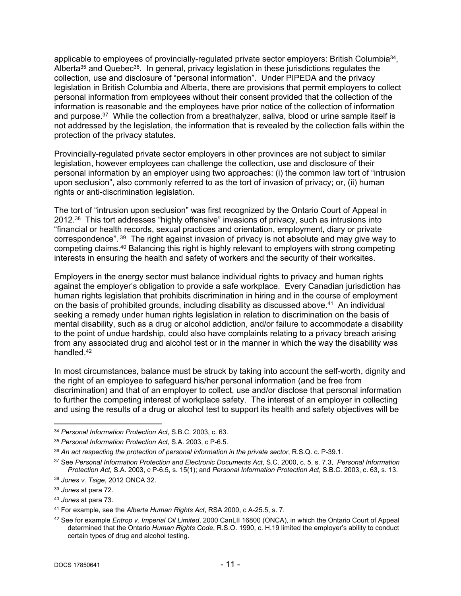applicable to employees of provincially-regulated private sector employers: British Columbia<sup>34</sup>, Alberta<sup>35</sup> and Quebec<sup>36</sup>. In general, privacy legislation in these jurisdictions regulates the collection, use and disclosure of "personal information". Under PIPEDA and the privacy legislation in British Columbia and Alberta, there are provisions that permit employers to collect personal information from employees without their consent provided that the collection of the information is reasonable and the employees have prior notice of the collection of information and purpose.<sup>37</sup> While the collection from a breathalyzer, saliva, blood or urine sample itself is not addressed by the legislation, the information that is revealed by the collection falls within the protection of the privacy statutes.

Provincially-regulated private sector employers in other provinces are not subject to similar legislation, however employees can challenge the collection, use and disclosure of their personal information by an employer using two approaches: (i) the common law tort of "intrusion upon seclusion", also commonly referred to as the tort of invasion of privacy; or, (ii) human rights or anti-discrimination legislation.

The tort of "intrusion upon seclusion" was first recognized by the Ontario Court of Appeal in 2012.<sup>38</sup> This tort addresses "highly offensive" invasions of privacy, such as intrusions into "financial or health records, sexual practices and orientation, employment, diary or private correspondence".<sup>39</sup> The right against invasion of privacy is not absolute and may give way to competing claims.<sup>40</sup> Balancing this right is highly relevant to employers with strong competing interests in ensuring the health and safety of workers and the security of their worksites.

Employers in the energy sector must balance individual rights to privacy and human rights against the employer's obligation to provide a safe workplace. Every Canadian jurisdiction has human rights legislation that prohibits discrimination in hiring and in the course of employment on the basis of prohibited grounds, including disability as discussed above.<sup>41</sup> An individual seeking a remedy under human rights legislation in relation to discrimination on the basis of mental disability, such as a drug or alcohol addiction, and/or failure to accommodate a disability to the point of undue hardship, could also have complaints relating to a privacy breach arising from any associated drug and alcohol test or in the manner in which the way the disability was handled.<sup>42</sup>

In most circumstances, balance must be struck by taking into account the self-worth, dignity and the right of an employee to safeguard his/her personal information (and be free from discrimination) and that of an employer to collect, use and/or disclose that personal information to further the competing interest of workplace safety. The interest of an employer in collecting and using the results of a drug or alcohol test to support its health and safety objectives will be

<sup>34</sup> *Personal Information Protection Act*, S.B.C. 2003, c. 63.

<sup>35</sup> *Personal Information Protection Act,* S.A. 2003, c P-6.5.

<sup>36</sup> *An act respecting the protection of personal information in the private sector*, R.S.Q. c. P-39.1.

<sup>37</sup> See *Personal Information Protection and Electronic Documents Act*, S.C. 2000, c. 5, s. 7.3, *Personal Information Protection Act,* S.A. 2003, c P-6.5, s. 15(1); and *Personal Information Protection Act*, S.B.C. 2003, c. 63, s. 13.

<sup>38</sup> *Jones v. Tsige*, 2012 ONCA 32.

<sup>39</sup> *Jones* at para 72.

<sup>40</sup> *Jones* at para 73.

<sup>41</sup> For example, see the *Alberta Human Rights Act*, RSA 2000, c A-25.5, s. 7.

<sup>42</sup> See for example *Entrop v. Imperial Oil Limited*, 2000 CanLII 16800 (ONCA), in which the Ontario Court of Appeal determined that the Ontario *Human Rights Code*, R.S.O. 1990, c. H.19 limited the employer's ability to conduct certain types of drug and alcohol testing.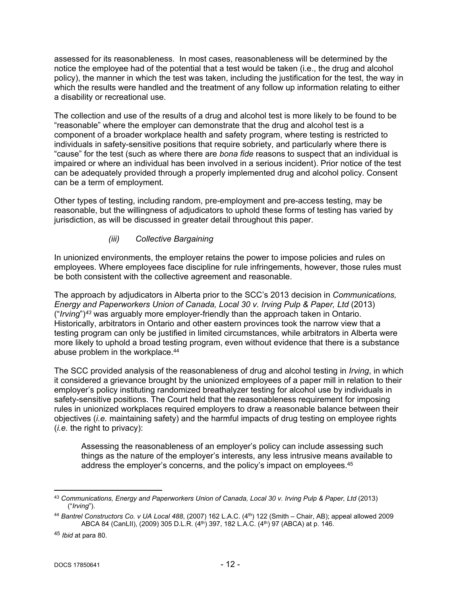assessed for its reasonableness. In most cases, reasonableness will be determined by the notice the employee had of the potential that a test would be taken (i.e., the drug and alcohol policy), the manner in which the test was taken, including the justification for the test, the way in which the results were handled and the treatment of any follow up information relating to either a disability or recreational use.

The collection and use of the results of a drug and alcohol test is more likely to be found to be "reasonable" where the employer can demonstrate that the drug and alcohol test is a component of a broader workplace health and safety program, where testing is restricted to individuals in safety-sensitive positions that require sobriety, and particularly where there is "cause" for the test (such as where there are *bona fide* reasons to suspect that an individual is impaired or where an individual has been involved in a serious incident). Prior notice of the test can be adequately provided through a properly implemented drug and alcohol policy. Consent can be a term of employment.

Other types of testing, including random, pre-employment and pre-access testing, may be reasonable, but the willingness of adjudicators to uphold these forms of testing has varied by jurisdiction, as will be discussed in greater detail throughout this paper.

### <span id="page-11-0"></span>*(iii) Collective Bargaining*

In unionized environments, the employer retains the power to impose policies and rules on employees. Where employees face discipline for rule infringements, however, those rules must be both consistent with the collective agreement and reasonable.

The approach by adjudicators in Alberta prior to the SCC's 2013 decision in *Communications, Energy and Paperworkers Union of Canada, Local 30 v. Irving Pulp & Paper, Ltd* (2013) ("*Irving*")*<sup>43</sup>* was arguably more employer-friendly than the approach taken in Ontario. Historically, arbitrators in Ontario and other eastern provinces took the narrow view that a testing program can only be justified in limited circumstances, while arbitrators in Alberta were more likely to uphold a broad testing program, even without evidence that there is a substance abuse problem in the workplace.<sup>44</sup>

The SCC provided analysis of the reasonableness of drug and alcohol testing in *Irving*, in which it considered a grievance brought by the unionized employees of a paper mill in relation to their employer's policy instituting randomized breathalyzer testing for alcohol use by individuals in safety-sensitive positions. The Court held that the reasonableness requirement for imposing rules in unionized workplaces required employers to draw a reasonable balance between their objectives (*i.e.* maintaining safety) and the harmful impacts of drug testing on employee rights (*i.e.* the right to privacy):

Assessing the reasonableness of an employer's policy can include assessing such things as the nature of the employer's interests, any less intrusive means available to address the employer's concerns, and the policy's impact on employees.<sup>45</sup>

<sup>43</sup> *Communications, Energy and Paperworkers Union of Canada, Local 30 v. Irving Pulp & Paper, Ltd* (2013) ("*Irving*").

<sup>&</sup>lt;sup>44</sup> Bantrel Constructors Co. v UA Local 488, (2007) 162 L.A.C. (4<sup>th</sup>) 122 (Smith – Chair, AB); appeal allowed 2009 ABCA 84 (CanLII), (2009) 305 D.L.R. (4<sup>th</sup>) 397, 182 L.A.C. (4<sup>th</sup>) 97 (ABCA) at p. 146.

<sup>45</sup> *Ibid* at para 80.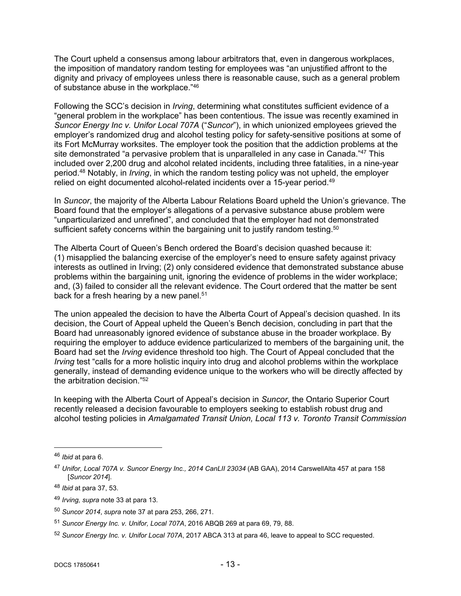The Court upheld a consensus among labour arbitrators that, even in dangerous workplaces, the imposition of mandatory random testing for employees was "an unjustified affront to the dignity and privacy of employees unless there is reasonable cause, such as a general problem of substance abuse in the workplace."<sup>46</sup>

Following the SCC's decision in *Irving*, determining what constitutes sufficient evidence of a "general problem in the workplace" has been contentious. The issue was recently examined in *Suncor Energy Inc v. Unifor Local 707A* ("*Suncor*"), in which unionized employees grieved the employer's randomized drug and alcohol testing policy for safety-sensitive positions at some of its Fort McMurray worksites. The employer took the position that the addiction problems at the site demonstrated "a pervasive problem that is unparalleled in any case in Canada."<sup>47</sup> This included over 2,200 drug and alcohol related incidents, including three fatalities, in a nine-year period.<sup>48</sup> Notably, in *Irving*, in which the random testing policy was not upheld, the employer relied on eight documented alcohol-related incidents over a 15-year period.<sup>49</sup>

In *Suncor*, the majority of the Alberta Labour Relations Board upheld the Union's grievance. The Board found that the employer's allegations of a pervasive substance abuse problem were "unparticularized and unrefined", and concluded that the employer had not demonstrated sufficient safety concerns within the bargaining unit to justify random testing.<sup>50</sup>

The Alberta Court of Queen's Bench ordered the Board's decision quashed because it: (1) misapplied the balancing exercise of the employer's need to ensure safety against privacy interests as outlined in Irving; (2) only considered evidence that demonstrated substance abuse problems within the bargaining unit, ignoring the evidence of problems in the wider workplace; and, (3) failed to consider all the relevant evidence. The Court ordered that the matter be sent back for a fresh hearing by a new panel.<sup>51</sup>

The union appealed the decision to have the Alberta Court of Appeal's decision quashed. In its decision, the Court of Appeal upheld the Queen's Bench decision, concluding in part that the Board had unreasonably ignored evidence of substance abuse in the broader workplace. By requiring the employer to adduce evidence particularized to members of the bargaining unit, the Board had set the *Irving* evidence threshold too high. The Court of Appeal concluded that the *Irving* test "calls for a more holistic inquiry into drug and alcohol problems within the workplace generally, instead of demanding evidence unique to the workers who will be directly affected by the arbitration decision."<sup>52</sup>

In keeping with the Alberta Court of Appeal's decision in *Suncor*, the Ontario Superior Court recently released a decision favourable to employers seeking to establish robust drug and alcohol testing policies in *Amalgamated Transit Union, Local 113 v. Toronto Transit Commission*

<sup>46</sup> *Ibid* at para 6.

<sup>47</sup> *Unifor, Local 707A v. Suncor Energy Inc., 2014 CanLII 23034* (AB GAA), 2014 CarswellAlta 457 at para 158 [*Suncor 2014*].

<sup>48</sup> *Ibid* at para 37, 53.

<sup>49</sup> *Irving, supra* note 33 at para 13.

<sup>50</sup> *Suncor 2014*, *supra* note 37 at para 253, 266, 271.

<sup>51</sup> *Suncor Energy Inc. v. Unifor, Local 707A*, 2016 ABQB 269 at para 69, 79, 88.

<sup>52</sup> *Suncor Energy Inc. v. Unifor Local 707A*, 2017 ABCA 313 at para 46, leave to appeal to SCC requested.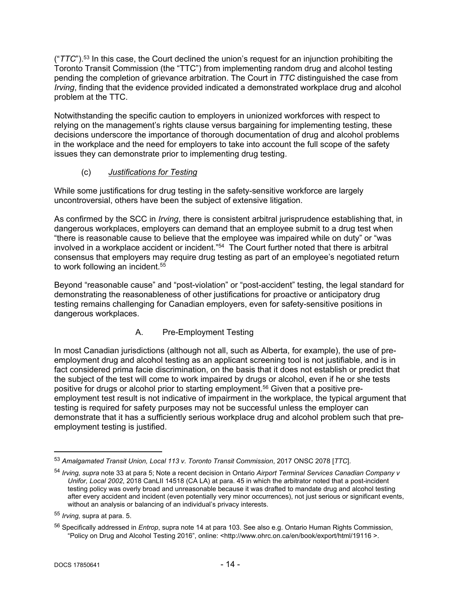("*TTC*").<sup>53</sup> In this case, the Court declined the union's request for an injunction prohibiting the Toronto Transit Commission (the "TTC") from implementing random drug and alcohol testing pending the completion of grievance arbitration. The Court in *TTC* distinguished the case from *Irving*, finding that the evidence provided indicated a demonstrated workplace drug and alcohol problem at the TTC.

Notwithstanding the specific caution to employers in unionized workforces with respect to relying on the management's rights clause versus bargaining for implementing testing, these decisions underscore the importance of thorough documentation of drug and alcohol problems in the workplace and the need for employers to take into account the full scope of the safety issues they can demonstrate prior to implementing drug testing.

# <span id="page-13-0"></span>(c) *Justifications for Testing*

While some justifications for drug testing in the safety-sensitive workforce are largely uncontroversial, others have been the subject of extensive litigation.

As confirmed by the SCC in *Irving*, there is consistent arbitral jurisprudence establishing that, in dangerous workplaces, employers can demand that an employee submit to a drug test when "there is reasonable cause to believe that the employee was impaired while on duty" or "was involved in a workplace accident or incident."<sup>54</sup> The Court further noted that there is arbitral consensus that employers may require drug testing as part of an employee's negotiated return to work following an incident.<sup>55</sup>

Beyond "reasonable cause" and "post-violation" or "post-accident" testing, the legal standard for demonstrating the reasonableness of other justifications for proactive or anticipatory drug testing remains challenging for Canadian employers, even for safety-sensitive positions in dangerous workplaces.

# A. Pre-Employment Testing

In most Canadian jurisdictions (although not all, such as Alberta, for example), the use of preemployment drug and alcohol testing as an applicant screening tool is not justifiable, and is in fact considered prima facie discrimination, on the basis that it does not establish or predict that the subject of the test will come to work impaired by drugs or alcohol, even if he or she tests positive for drugs or alcohol prior to starting employment.<sup>56</sup> Given that a positive preemployment test result is not indicative of impairment in the workplace, the typical argument that testing is required for safety purposes may not be successful unless the employer can demonstrate that it has a sufficiently serious workplace drug and alcohol problem such that preemployment testing is justified.

<sup>53</sup> *Amalgamated Transit Union, Local 113 v. Toronto Transit Commission*, 2017 ONSC 2078 [*TTC*].

<sup>54</sup> *Irving, supra* note 33 at para 5; Note a recent decision in Ontario *Airport Terminal Services Canadian Company v Unifor, Local 2002*, 2018 CanLII 14518 (CA LA) at para. 45 in which the arbitrator noted that a post-incident testing policy was overly broad and unreasonable because it was drafted to mandate drug and alcohol testing after every accident and incident (even potentially very minor occurrences), not just serious or significant events, without an analysis or balancing of an individual's privacy interests.

<sup>55</sup> *Irving,* supra at para. 5.

<sup>56</sup> Specifically addressed in *Entrop*, supra note 14 at para 103. See also e.g. Ontario Human Rights Commission, "Policy on Drug and Alcohol Testing 2016", online: <http://www.ohrc.on.ca/en/book/export/html/19116 >.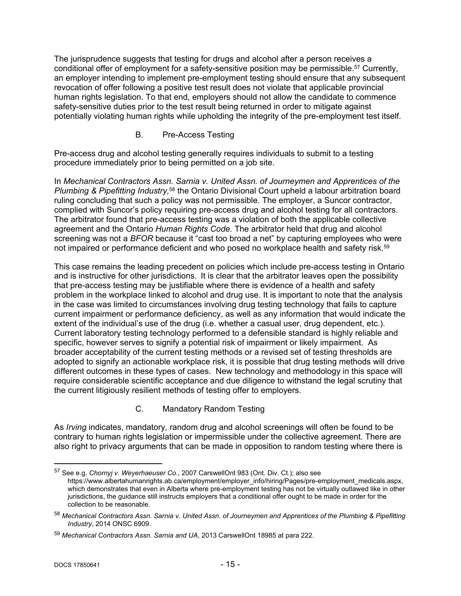The jurisprudence suggests that testing for drugs and alcohol after a person receives a conditional offer of employment for a safety-sensitive position may be permissible.<sup>57</sup> Currently, an employer intending to implement pre-employment testing should ensure that any subsequent revocation of offer following a positive test result does not violate that applicable provincial human rights legislation. To that end, employers should not allow the candidate to commence safety-sensitive duties prior to the test result being returned in order to mitigate against potentially violating human rights while upholding the integrity of the pre-employment test itself.

B. Pre-Access Testing

Pre-access drug and alcohol testing generally requires individuals to submit to a testing procedure immediately prior to being permitted on a job site.

In *Mechanical Contractors Assn. Sarnia v. United Assn. of Journeymen and Apprentices of the Plumbing & Pipefitting Industry,*<sup>58</sup> the Ontario Divisional Court upheld a labour arbitration board ruling concluding that such a policy was not permissible. The employer, a Suncor contractor, complied with Suncor's policy requiring pre-access drug and alcohol testing for all contractors. The arbitrator found that pre-access testing was a violation of both the applicable collective agreement and the Ontario *Human Rights Code.* The arbitrator held that drug and alcohol screening was not a *BFOR* because it "cast too broad a net" by capturing employees who were not impaired or performance deficient and who posed no workplace health and safety risk.<sup>59</sup>

This case remains the leading precedent on policies which include pre-access testing in Ontario and is instructive for other jurisdictions. It is clear that the arbitrator leaves open the possibility that pre-access testing may be justifiable where there is evidence of a health and safety problem in the workplace linked to alcohol and drug use. It is important to note that the analysis in the case was limited to circumstances involving drug testing technology that fails to capture current impairment or performance deficiency, as well as any information that would indicate the extent of the individual's use of the drug (i.e. whether a casual user, drug dependent, etc.). Current laboratory testing technology performed to a defensible standard is highly reliable and specific, however serves to signify a potential risk of impairment or likely impairment. As broader acceptability of the current testing methods or a revised set of testing thresholds are adopted to signify an actionable workplace risk, it is possible that drug testing methods will drive different outcomes in these types of cases. New technology and methodology in this space will require considerable scientific acceptance and due diligence to withstand the legal scrutiny that the current litigiously resilient methods of testing offer to employers.

C. Mandatory Random Testing

As *Irving* indicates, mandatory, random drug and alcohol screenings will often be found to be contrary to human rights legislation or impermissible under the collective agreement. There are also right to privacy arguments that can be made in opposition to random testing where there is

<sup>57</sup> See e.g. *Chornyj v. Weyerhaeuser Co.*, 2007 CarswellOnt 983 (Ont. Div. Ct.); also see https://www.albertahumanrights.ab.ca/employment/employer\_info/hiring/Pages/pre-employment\_medicals.aspx, which demonstrates that even in Alberta where pre-employment testing has not be virtually outlawed like in other jurisdictions, the guidance still instructs employers that a conditional offer ought to be made in order for the collection to be reasonable.

<sup>58</sup> *Mechanical Contractors Assn. Sarnia v. United Assn. of Journeymen and Apprentices of the Plumbing & Pipefitting Industry*, 2014 ONSC 6909.

<sup>59</sup> *Mechanical Contractors Assn. Sarnia and UA*, 2013 CarswellOnt 18985 at para 222.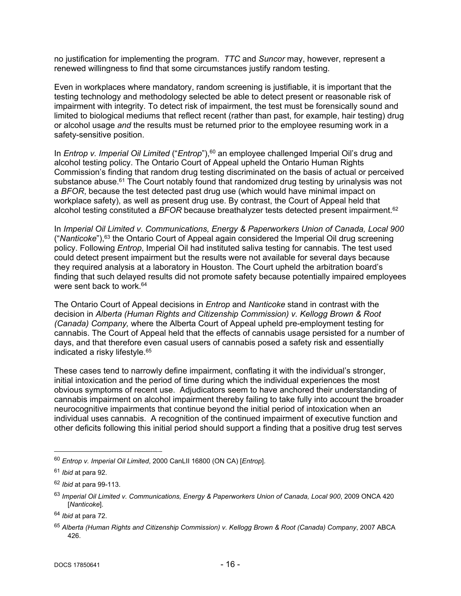no justification for implementing the program. *TTC* and *Suncor* may, however, represent a renewed willingness to find that some circumstances justify random testing.

Even in workplaces where mandatory, random screening is justifiable, it is important that the testing technology and methodology selected be able to detect present or reasonable risk of impairment with integrity. To detect risk of impairment, the test must be forensically sound and limited to biological mediums that reflect recent (rather than past, for example, hair testing) drug or alcohol usage *and* the results must be returned prior to the employee resuming work in a safety-sensitive position.

In *Entrop v. Imperial Oil Limited* ("*Entrop*"),<sup>60</sup> an employee challenged Imperial Oil's drug and alcohol testing policy. The Ontario Court of Appeal upheld the Ontario Human Rights Commission's finding that random drug testing discriminated on the basis of actual or perceived substance abuse.<sup>61</sup> The Court notably found that randomized drug testing by urinalysis was not a *BFOR*, because the test detected past drug use (which would have minimal impact on workplace safety), as well as present drug use. By contrast, the Court of Appeal held that alcohol testing constituted a *BFOR* because breathalyzer tests detected present impairment.<sup>62</sup>

In *Imperial Oil Limited v. Communications, Energy & Paperworkers Union of Canada, Local 900* ("*Nanticoke*"),<sup>63</sup> the Ontario Court of Appeal again considered the Imperial Oil drug screening policy. Following *Entrop*, Imperial Oil had instituted saliva testing for cannabis. The test used could detect present impairment but the results were not available for several days because they required analysis at a laboratory in Houston. The Court upheld the arbitration board's finding that such delayed results did not promote safety because potentially impaired employees were sent back to work.<sup>64</sup>

The Ontario Court of Appeal decisions in *Entrop* and *Nanticoke* stand in contrast with the decision in *Alberta (Human Rights and Citizenship Commission) v. Kellogg Brown & Root (Canada) Company,* where the Alberta Court of Appeal upheld pre-employment testing for cannabis. The Court of Appeal held that the effects of cannabis usage persisted for a number of days, and that therefore even casual users of cannabis posed a safety risk and essentially indicated a risky lifestyle.<sup>65</sup>

These cases tend to narrowly define impairment, conflating it with the individual's stronger, initial intoxication and the period of time during which the individual experiences the most obvious symptoms of recent use. Adjudicators seem to have anchored their understanding of cannabis impairment on alcohol impairment thereby failing to take fully into account the broader neurocognitive impairments that continue beyond the initial period of intoxication when an individual uses cannabis. A recognition of the continued impairment of executive function and other deficits following this initial period should support a finding that a positive drug test serves

<sup>60</sup> *Entrop v. Imperial Oil Limited*, 2000 CanLII 16800 (ON CA) [*Entrop*].

<sup>61</sup> *Ibid* at para 92.

<sup>62</sup> *Ibid* at para 99-113.

<sup>63</sup> *Imperial Oil Limited v. Communications, Energy & Paperworkers Union of Canada, Local 900*, 2009 ONCA 420 [*Nanticoke*].

<sup>64</sup> *Ibid* at para 72.

<sup>65</sup> *Alberta (Human Rights and Citizenship Commission) v. Kellogg Brown & Root (Canada) Company*, 2007 ABCA 426.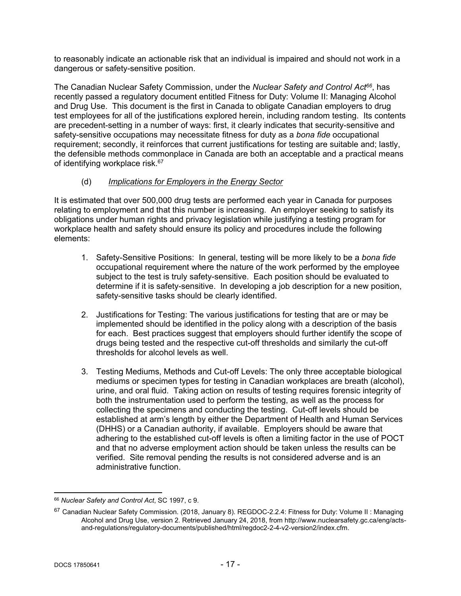to reasonably indicate an actionable risk that an individual is impaired and should not work in a dangerous or safety-sensitive position.

The Canadian Nuclear Safety Commission, under the *Nuclear Safety and Control Act<sup>66</sup>*, has recently passed a regulatory document entitled Fitness for Duty: Volume II: Managing Alcohol and Drug Use. This document is the first in Canada to obligate Canadian employers to drug test employees for all of the justifications explored herein, including random testing. Its contents are precedent-setting in a number of ways: first, it clearly indicates that security-sensitive and safety-sensitive occupations may necessitate fitness for duty as a *bona fide* occupational requirement; secondly, it reinforces that current justifications for testing are suitable and; lastly, the defensible methods commonplace in Canada are both an acceptable and a practical means of identifying workplace risk.<sup>67</sup>

### <span id="page-16-0"></span>(d) *Implications for Employers in the Energy Sector*

It is estimated that over 500,000 drug tests are performed each year in Canada for purposes relating to employment and that this number is increasing. An employer seeking to satisfy its obligations under human rights and privacy legislation while justifying a testing program for workplace health and safety should ensure its policy and procedures include the following elements:

- 1. Safety-Sensitive Positions: In general, testing will be more likely to be a *bona fide* occupational requirement where the nature of the work performed by the employee subject to the test is truly safety-sensitive. Each position should be evaluated to determine if it is safety-sensitive. In developing a job description for a new position, safety-sensitive tasks should be clearly identified.
- 2. Justifications for Testing: The various justifications for testing that are or may be implemented should be identified in the policy along with a description of the basis for each. Best practices suggest that employers should further identify the scope of drugs being tested and the respective cut-off thresholds and similarly the cut-off thresholds for alcohol levels as well.
- 3. Testing Mediums, Methods and Cut-off Levels: The only three acceptable biological mediums or specimen types for testing in Canadian workplaces are breath (alcohol), urine, and oral fluid. Taking action on results of testing requires forensic integrity of both the instrumentation used to perform the testing, as well as the process for collecting the specimens and conducting the testing. Cut-off levels should be established at arm's length by either the Department of Health and Human Services (DHHS) or a Canadian authority, if available. Employers should be aware that adhering to the established cut-off levels is often a limiting factor in the use of POCT and that no adverse employment action should be taken unless the results can be verified. Site removal pending the results is not considered adverse and is an administrative function.

<sup>66</sup> *Nuclear Safety and Control Act*, SC 1997, c 9.

<sup>67</sup> Canadian Nuclear Safety Commission. (2018, January 8). REGDOC-2.2.4: Fitness for Duty: Volume II: Managing Alcohol and Drug Use, version 2. Retrieved January 24, 2018, from http://www.nuclearsafety.gc.ca/eng/actsand-regulations/regulatory-documents/published/html/regdoc2-2-4-v2-version2/index.cfm.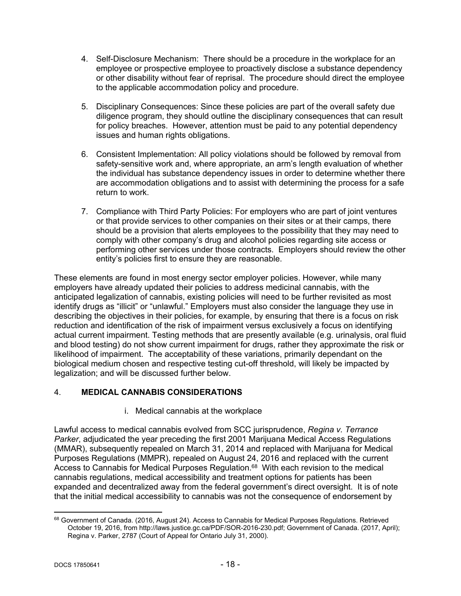- 4. Self-Disclosure Mechanism: There should be a procedure in the workplace for an employee or prospective employee to proactively disclose a substance dependency or other disability without fear of reprisal. The procedure should direct the employee to the applicable accommodation policy and procedure.
- 5. Disciplinary Consequences: Since these policies are part of the overall safety due diligence program, they should outline the disciplinary consequences that can result for policy breaches. However, attention must be paid to any potential dependency issues and human rights obligations.
- 6. Consistent Implementation: All policy violations should be followed by removal from safety-sensitive work and, where appropriate, an arm's length evaluation of whether the individual has substance dependency issues in order to determine whether there are accommodation obligations and to assist with determining the process for a safe return to work.
- 7. Compliance with Third Party Policies: For employers who are part of joint ventures or that provide services to other companies on their sites or at their camps, there should be a provision that alerts employees to the possibility that they may need to comply with other company's drug and alcohol policies regarding site access or performing other services under those contracts. Employers should review the other entity's policies first to ensure they are reasonable.

These elements are found in most energy sector employer policies. However, while many employers have already updated their policies to address medicinal cannabis, with the anticipated legalization of cannabis, existing policies will need to be further revisited as most identify drugs as "illicit" or "unlawful." Employers must also consider the language they use in describing the objectives in their policies, for example, by ensuring that there is a focus on risk reduction and identification of the risk of impairment versus exclusively a focus on identifying actual current impairment. Testing methods that are presently available (e.g. urinalysis, oral fluid and blood testing) do not show current impairment for drugs, rather they approximate the risk or likelihood of impairment. The acceptability of these variations, primarily dependant on the biological medium chosen and respective testing cut-off threshold, will likely be impacted by legalization; and will be discussed further below.

# <span id="page-17-0"></span>4. **MEDICAL CANNABIS CONSIDERATIONS**

i. Medical cannabis at the workplace

Lawful access to medical cannabis evolved from SCC jurisprudence, *Regina v. Terrance Parker*, adjudicated the year preceding the first 2001 Marijuana Medical Access Regulations (MMAR), subsequently repealed on March 31, 2014 and replaced with Marijuana for Medical Purposes Regulations (MMPR), repealed on August 24, 2016 and replaced with the current Access to Cannabis for Medical Purposes Regulation.<sup>68</sup> With each revision to the medical cannabis regulations, medical accessibility and treatment options for patients has been expanded and decentralized away from the federal government's direct oversight. It is of note that the initial medical accessibility to cannabis was not the consequence of endorsement by

<sup>68</sup> Government of Canada. (2016, August 24). Access to Cannabis for Medical Purposes Regulations. Retrieved October 19, 2016, from http://laws.justice.gc.ca/PDF/SOR-2016-230.pdf; Government of Canada. (2017, April); Regina v. Parker, 2787 (Court of Appeal for Ontario July 31, 2000).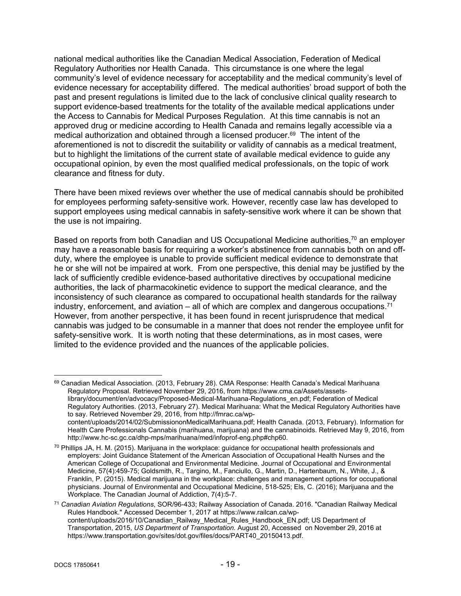national medical authorities like the Canadian Medical Association, Federation of Medical Regulatory Authorities nor Health Canada. This circumstance is one where the legal community's level of evidence necessary for acceptability and the medical community's level of evidence necessary for acceptability differed. The medical authorities' broad support of both the past and present regulations is limited due to the lack of conclusive clinical quality research to support evidence-based treatments for the totality of the available medical applications under the Access to Cannabis for Medical Purposes Regulation. At this time cannabis is not an approved drug or medicine according to Health Canada and remains legally accessible via a medical authorization and obtained through a licensed producer.<sup>69</sup> The intent of the aforementioned is not to discredit the suitability or validity of cannabis as a medical treatment, but to highlight the limitations of the current state of available medical evidence to guide any occupational opinion, by even the most qualified medical professionals, on the topic of work clearance and fitness for duty.

There have been mixed reviews over whether the use of medical cannabis should be prohibited for employees performing safety-sensitive work. However, recently case law has developed to support employees using medical cannabis in safety-sensitive work where it can be shown that the use is not impairing.

Based on reports from both Canadian and US Occupational Medicine authorities,<sup>70</sup> an employer may have a reasonable basis for requiring a worker's abstinence from cannabis both on and offduty, where the employee is unable to provide sufficient medical evidence to demonstrate that he or she will not be impaired at work. From one perspective, this denial may be justified by the lack of sufficiently credible evidence-based authoritative directives by occupational medicine authorities, the lack of pharmacokinetic evidence to support the medical clearance, and the inconsistency of such clearance as compared to occupational health standards for the railway industry, enforcement, and aviation  $-$  all of which are complex and dangerous occupations.<sup>71</sup> However, from another perspective, it has been found in recent jurisprudence that medical cannabis was judged to be consumable in a manner that does not render the employee unfit for safety-sensitive work. It is worth noting that these determinations, as in most cases, were limited to the evidence provided and the nuances of the applicable policies.

<sup>69</sup> Canadian Medical Association. (2013, February 28). CMA Response: Health Canada's Medical Marihuana Regulatory Proposal. Retrieved November 29, 2016, from https://www.cma.ca/Assets/assetslibrary/document/en/advocacy/Proposed-Medical-Marihuana-Regulations\_en.pdf; Federation of Medical Regulatory Authorities. (2013, February 27). Medical Marihuana: What the Medical Regulatory Authorities have to say. Retrieved November 29, 2016, from http://fmrac.ca/wpcontent/uploads/2014/02/SubmissiononMedicalMarihuana.pdf; Health Canada. (2013, February). Information for Health Care Professionals Cannabis (marihuana, marijuana) and the cannabinoids. Retrieved May 9, 2016, from http://www.hc-sc.gc.ca/dhp-mps/marihuana/med/infoprof-eng.php#chp60.

<sup>70</sup> Phillips JA, H. M. (2015). Marijuana in the workplace: guidance for occupational health professionals and employers: Joint Guidance Statement of the American Association of Occupational Health Nurses and the American College of Occupational and Environmental Medicine. Journal of Occupational and Environmental Medicine, 57(4):459-75; Goldsmith, R., Targino, M., Fanciullo, G., Martin, D., Hartenbaum, N., White, J., & Franklin, P. (2015). Medical marijuana in the workplace: challenges and management options for occupational physicians. Journal of Environmental and Occupational Medicine, 518-525; Els, C. (2016); Marijuana and the Workplace. The Canadian Journal of Addiction, 7(4):5-7.

<sup>71</sup> *Canadian Aviation Regulations*, SOR/96-433; Railway Association of Canada. 2016. "Canadian Railway Medical Rules Handbook." Accessed December 1, 2017 at https://www.railcan.ca/wpcontent/uploads/2016/10/Canadian\_Railway\_Medical\_Rules\_Handbook\_EN.pdf; US Department of Transportation, 2015, *US Department of Transportation.* August 20, Accessed on November 29, 2016 at https://www.transportation.gov/sites/dot.gov/files/docs/PART40\_20150413.pdf.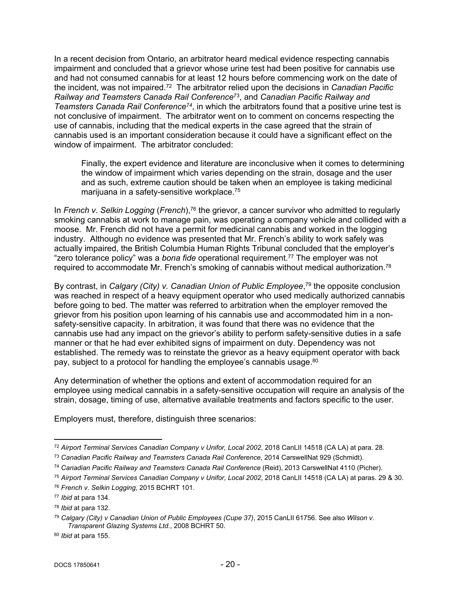In a recent decision from Ontario, an arbitrator heard medical evidence respecting cannabis impairment and concluded that a grievor whose urine test had been positive for cannabis use and had not consumed cannabis for at least 12 hours before commencing work on the date of the incident, was not impaired.<sup>72</sup> The arbitrator relied upon the decisions in *Canadian Pacific Railway and Teamsters Canada Rail Conference*<sup>73</sup>, and *Canadian Pacific Railway and Teamsters Canada Rail Conference<sup>74</sup>*, in which the arbitrators found that a positive urine test is not conclusive of impairment. The arbitrator went on to comment on concerns respecting the use of cannabis, including that the medical experts in the case agreed that the strain of cannabis used is an important consideration because it could have a significant effect on the window of impairment. The arbitrator concluded:

Finally, the expert evidence and literature are inconclusive when it comes to determining the window of impairment which varies depending on the strain, dosage and the user and as such, extreme caution should be taken when an employee is taking medicinal marijuana in a safety-sensitive workplace.<sup>75</sup>

In *French v. Selkin Logging* (*French*),<sup>76</sup> the grievor, a cancer survivor who admitted to regularly smoking cannabis at work to manage pain, was operating a company vehicle and collided with a moose. Mr. French did not have a permit for medicinal cannabis and worked in the logging industry. Although no evidence was presented that Mr. French's ability to work safely was actually impaired, the British Columbia Human Rights Tribunal concluded that the employer's "zero tolerance policy" was a *bona fide* operational requirement.<sup>77</sup> The employer was not required to accommodate Mr. French's smoking of cannabis without medical authorization.<sup>78</sup>

By contrast, in *Calgary (City) v. Canadian Union of Public Employee*, <sup>79</sup> the opposite conclusion was reached in respect of a heavy equipment operator who used medically authorized cannabis before going to bed. The matter was referred to arbitration when the employer removed the grievor from his position upon learning of his cannabis use and accommodated him in a nonsafety-sensitive capacity. In arbitration, it was found that there was no evidence that the cannabis use had any impact on the grievor's ability to perform safety-sensitive duties in a safe manner or that he had ever exhibited signs of impairment on duty. Dependency was not established. The remedy was to reinstate the grievor as a heavy equipment operator with back pay, subject to a protocol for handling the employee's cannabis usage.<sup>80</sup>

Any determination of whether the options and extent of accommodation required for an employee using medical cannabis in a safety-sensitive occupation will require an analysis of the strain, dosage, timing of use, alternative available treatments and factors specific to the user.

Employers must, therefore, distinguish three scenarios:

<sup>72</sup> *Airport Terminal Services Canadian Company v Unifor, Local 2002*, 2018 CanLII 14518 (CA LA) at para. 28.

<sup>73</sup> *Canadian Pacific Railway and Teamsters Canada Rail Conference*, 2014 CarswellNat 929 (Schmidt).

<sup>74</sup> *Canadian Pacific Railway and Teamsters Canada Rail Conference* (Reid), 2013 CarswellNat 4110 (Picher).

<sup>75</sup> *Airport Terminal Services Canadian Company v Unifor, Local 2002*, 2018 CanLII 14518 (CA LA) at paras. 29 & 30.

<sup>76</sup> *French v. Selkin Logging*, 2015 BCHRT 101.

<sup>77</sup> *Ibid* at para 134.

<sup>78</sup> *Ibid* at para 132.

<sup>79</sup> *Calgary (City) v Canadian Union of Public Employees (Cupe 37)*, 2015 CanLII 61756. See also *Wilson v. Transparent Glazing Systems Ltd.*, 2008 BCHRT 50.

<sup>80</sup> *Ibid* at para 155.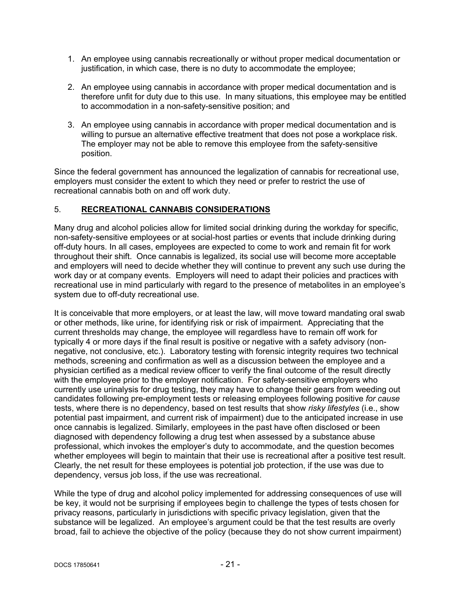- 1. An employee using cannabis recreationally or without proper medical documentation or justification, in which case, there is no duty to accommodate the employee;
- 2. An employee using cannabis in accordance with proper medical documentation and is therefore unfit for duty due to this use. In many situations, this employee may be entitled to accommodation in a non-safety-sensitive position; and
- 3. An employee using cannabis in accordance with proper medical documentation and is willing to pursue an alternative effective treatment that does not pose a workplace risk. The employer may not be able to remove this employee from the safety-sensitive position.

Since the federal government has announced the legalization of cannabis for recreational use, employers must consider the extent to which they need or prefer to restrict the use of recreational cannabis both on and off work duty.

### <span id="page-20-0"></span>5. **RECREATIONAL CANNABIS CONSIDERATIONS**

Many drug and alcohol policies allow for limited social drinking during the workday for specific, non-safety-sensitive employees or at social-host parties or events that include drinking during off-duty hours. In all cases, employees are expected to come to work and remain fit for work throughout their shift. Once cannabis is legalized, its social use will become more acceptable and employers will need to decide whether they will continue to prevent any such use during the work day or at company events. Employers will need to adapt their policies and practices with recreational use in mind particularly with regard to the presence of metabolites in an employee's system due to off-duty recreational use.

It is conceivable that more employers, or at least the law, will move toward mandating oral swab or other methods, like urine, for identifying risk or risk of impairment. Appreciating that the current thresholds may change, the employee will regardless have to remain off work for typically 4 or more days if the final result is positive or negative with a safety advisory (nonnegative, not conclusive, etc.). Laboratory testing with forensic integrity requires two technical methods, screening and confirmation as well as a discussion between the employee and a physician certified as a medical review officer to verify the final outcome of the result directly with the employee prior to the employer notification. For safety-sensitive employers who currently use urinalysis for drug testing, they may have to change their gears from weeding out candidates following pre-employment tests or releasing employees following positive *for cause* tests, where there is no dependency, based on test results that show *risky lifestyles* (i.e., show potential past impairment, and current risk of impairment) due to the anticipated increase in use once cannabis is legalized. Similarly, employees in the past have often disclosed or been diagnosed with dependency following a drug test when assessed by a substance abuse professional, which invokes the employer's duty to accommodate, and the question becomes whether employees will begin to maintain that their use is recreational after a positive test result. Clearly, the net result for these employees is potential job protection, if the use was due to dependency, versus job loss, if the use was recreational.

While the type of drug and alcohol policy implemented for addressing consequences of use will be key, it would not be surprising if employees begin to challenge the types of tests chosen for privacy reasons, particularly in jurisdictions with specific privacy legislation, given that the substance will be legalized. An employee's argument could be that the test results are overly broad, fail to achieve the objective of the policy (because they do not show current impairment)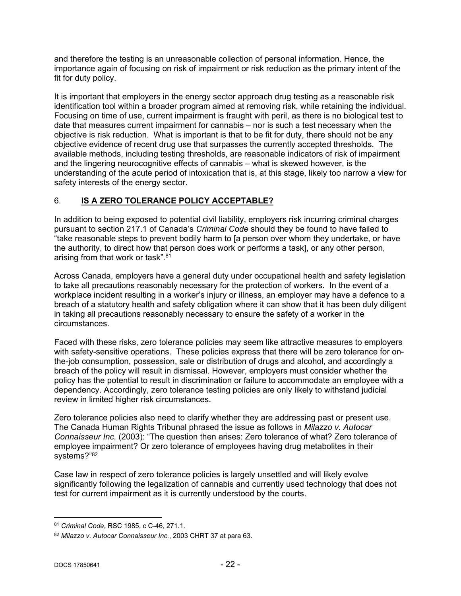and therefore the testing is an unreasonable collection of personal information. Hence, the importance again of focusing on risk of impairment or risk reduction as the primary intent of the fit for duty policy.

It is important that employers in the energy sector approach drug testing as a reasonable risk identification tool within a broader program aimed at removing risk, while retaining the individual. Focusing on time of use, current impairment is fraught with peril, as there is no biological test to date that measures current impairment for cannabis – nor is such a test necessary when the objective is risk reduction. What is important is that to be fit for duty, there should not be any objective evidence of recent drug use that surpasses the currently accepted thresholds. The available methods, including testing thresholds, are reasonable indicators of risk of impairment and the lingering neurocognitive effects of cannabis – what is skewed however, is the understanding of the acute period of intoxication that is, at this stage, likely too narrow a view for safety interests of the energy sector.

# <span id="page-21-0"></span>6. **IS A ZERO TOLERANCE POLICY ACCEPTABLE?**

In addition to being exposed to potential civil liability, employers risk incurring criminal charges pursuant to section 217.1 of Canada's *Criminal Code* should they be found to have failed to "take reasonable steps to prevent bodily harm to [a person over whom they undertake, or have the authority, to direct how that person does work or performs a task], or any other person, arising from that work or task".<sup>81</sup>

Across Canada, employers have a general duty under occupational health and safety legislation to take all precautions reasonably necessary for the protection of workers. In the event of a workplace incident resulting in a worker's injury or illness, an employer may have a defence to a breach of a statutory health and safety obligation where it can show that it has been duly diligent in taking all precautions reasonably necessary to ensure the safety of a worker in the circumstances.

Faced with these risks, zero tolerance policies may seem like attractive measures to employers with safety-sensitive operations. These policies express that there will be zero tolerance for onthe-job consumption, possession, sale or distribution of drugs and alcohol, and accordingly a breach of the policy will result in dismissal. However, employers must consider whether the policy has the potential to result in discrimination or failure to accommodate an employee with a dependency. Accordingly, zero tolerance testing policies are only likely to withstand judicial review in limited higher risk circumstances.

Zero tolerance policies also need to clarify whether they are addressing past or present use. The Canada Human Rights Tribunal phrased the issue as follows in *Milazzo v. Autocar Connaisseur Inc.* (2003): "The question then arises: Zero tolerance of what? Zero tolerance of employee impairment? Or zero tolerance of employees having drug metabolites in their systems?"<sup>82</sup>

Case law in respect of zero tolerance policies is largely unsettled and will likely evolve significantly following the legalization of cannabis and currently used technology that does not test for current impairment as it is currently understood by the courts.

<sup>81</sup> *Criminal Code*, RSC 1985, c C-46, 271.1.

<sup>82</sup> *Milazzo v. Autocar Connaisseur Inc.*, 2003 CHRT 37 at para 63.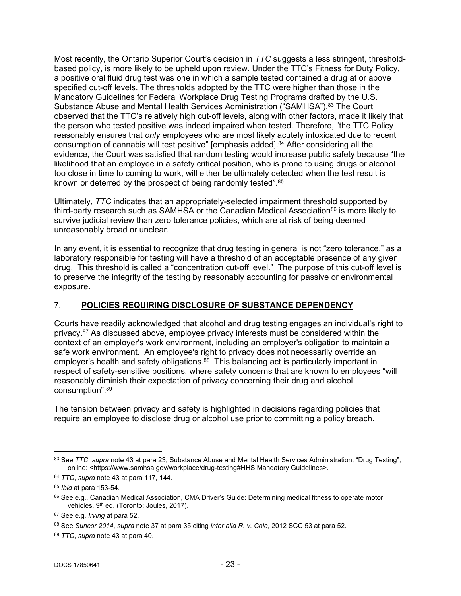Most recently, the Ontario Superior Court's decision in *TTC* suggests a less stringent, thresholdbased policy, is more likely to be upheld upon review. Under the TTC's Fitness for Duty Policy, a positive oral fluid drug test was one in which a sample tested contained a drug at or above specified cut-off levels. The thresholds adopted by the TTC were higher than those in the Mandatory Guidelines for Federal Workplace Drug Testing Programs drafted by the U.S. Substance Abuse and Mental Health Services Administration ("SAMHSA").<sup>83</sup> The Court observed that the TTC's relatively high cut-off levels, along with other factors, made it likely that the person who tested positive was indeed impaired when tested. Therefore, "the TTC Policy reasonably ensures that *only* employees who are most likely acutely intoxicated due to recent consumption of cannabis will test positive" [emphasis added].<sup>84</sup> After considering all the evidence, the Court was satisfied that random testing would increase public safety because "the likelihood that an employee in a safety critical position, who is prone to using drugs or alcohol too close in time to coming to work, will either be ultimately detected when the test result is known or deterred by the prospect of being randomly tested".<sup>85</sup>

Ultimately, *TTC* indicates that an appropriately-selected impairment threshold supported by third-party research such as SAMHSA or the Canadian Medical Association<sup>86</sup> is more likely to survive judicial review than zero tolerance policies, which are at risk of being deemed unreasonably broad or unclear.

In any event, it is essential to recognize that drug testing in general is not "zero tolerance," as a laboratory responsible for testing will have a threshold of an acceptable presence of any given drug. This threshold is called a "concentration cut-off level." The purpose of this cut-off level is to preserve the integrity of the testing by reasonably accounting for passive or environmental exposure.

# <span id="page-22-0"></span>7. **POLICIES REQUIRING DISCLOSURE OF SUBSTANCE DEPENDENCY**

Courts have readily acknowledged that alcohol and drug testing engages an individual's right to privacy.<sup>87</sup> As discussed above, employee privacy interests must be considered within the context of an employer's work environment, including an employer's obligation to maintain a safe work environment. An employee's right to privacy does not necessarily override an employer's health and safety obligations.<sup>88</sup> This balancing act is particularly important in respect of safety-sensitive positions, where safety concerns that are known to employees "will reasonably diminish their expectation of privacy concerning their drug and alcohol consumption".<sup>89</sup>

The tension between privacy and safety is highlighted in decisions regarding policies that require an employee to disclose drug or alcohol use prior to committing a policy breach.

<sup>83</sup> See *TTC*, *supra* note 43 at para 23; Substance Abuse and Mental Health Services Administration, "Drug Testing", online: <https://www.samhsa.gov/workplace/drug-testing#HHS Mandatory Guidelines>.

<sup>84</sup> *TTC*, *supra* note 43 at para 117, 144.

<sup>85</sup> *Ibid* at para 153-54.

<sup>86</sup> See e.g., Canadian Medical Association, CMA Driver's Guide: Determining medical fitness to operate motor vehicles, 9<sup>th</sup> ed. (Toronto: Joules, 2017).

<sup>87</sup> See e.g. *Irving* at para 52.

<sup>88</sup> See *Suncor 2014*, *supra* note 37 at para 35 citing *inter alia R. v. Cole*, 2012 SCC 53 at para 52.

<sup>89</sup> *TTC*, *supra* note 43 at para 40.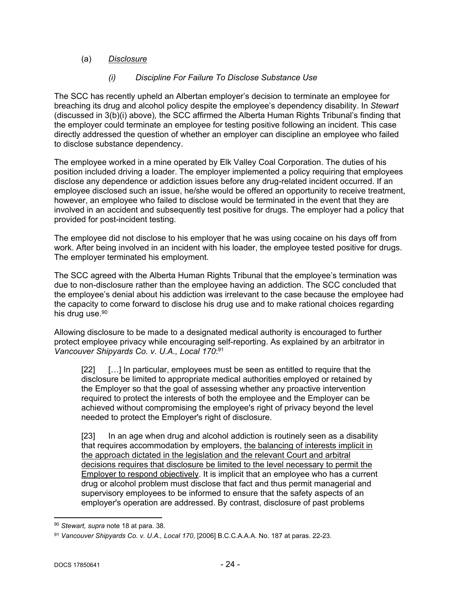# (a) *Disclosure*

## *(i) Discipline For Failure To Disclose Substance Use*

The SCC has recently upheld an Albertan employer's decision to terminate an employee for breaching its drug and alcohol policy despite the employee's dependency disability. In *Stewart* (discussed in 3(b)(i) above)*,* the SCC affirmed the Alberta Human Rights Tribunal's finding that the employer could terminate an employee for testing positive following an incident. This case directly addressed the question of whether an employer can discipline an employee who failed to disclose substance dependency.

The employee worked in a mine operated by Elk Valley Coal Corporation. The duties of his position included driving a loader. The employer implemented a policy requiring that employees disclose any dependence or addiction issues before any drug-related incident occurred. If an employee disclosed such an issue, he/she would be offered an opportunity to receive treatment, however, an employee who failed to disclose would be terminated in the event that they are involved in an accident and subsequently test positive for drugs. The employer had a policy that provided for post-incident testing.

The employee did not disclose to his employer that he was using cocaine on his days off from work. After being involved in an incident with his loader, the employee tested positive for drugs. The employer terminated his employment.

The SCC agreed with the Alberta Human Rights Tribunal that the employee's termination was due to non-disclosure rather than the employee having an addiction. The SCC concluded that the employee's denial about his addiction was irrelevant to the case because the employee had the capacity to come forward to disclose his drug use and to make rational choices regarding his drug use.<sup>90</sup>

Allowing disclosure to be made to a designated medical authority is encouraged to further protect employee privacy while encouraging self-reporting. As explained by an arbitrator in *Vancouver Shipyards Co. v. U.A., Local 170*: 91

[22] […] In particular, employees must be seen as entitled to require that the disclosure be limited to appropriate medical authorities employed or retained by the Employer so that the goal of assessing whether any proactive intervention required to protect the interests of both the employee and the Employer can be achieved without compromising the employee's right of privacy beyond the level needed to protect the Employer's right of disclosure.

[23] In an age when drug and alcohol addiction is routinely seen as a disability that requires accommodation by employers, the balancing of interests implicit in the approach dictated in the legislation and the relevant Court and arbitral decisions requires that disclosure be limited to the level necessary to permit the Employer to respond objectively. It is implicit that an employee who has a current drug or alcohol problem must disclose that fact and thus permit managerial and supervisory employees to be informed to ensure that the safety aspects of an employer's operation are addressed. By contrast, disclosure of past problems

<sup>90</sup> *Stewart, supra* note 18 at para. 38.

<sup>91</sup> *Vancouver Shipyards Co. v. U.A., Local 170*, [2006] B.C.C.A.A.A. No. 187 at paras. 22-23.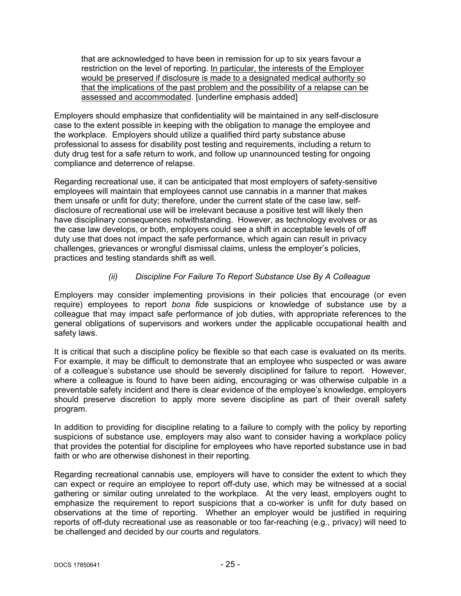that are acknowledged to have been in remission for up to six years favour a restriction on the level of reporting. In particular, the interests of the Employer would be preserved if disclosure is made to a designated medical authority so that the implications of the past problem and the possibility of a relapse can be assessed and accommodated. [underline emphasis added]

Employers should emphasize that confidentiality will be maintained in any self-disclosure case to the extent possible in keeping with the obligation to manage the employee and the workplace. Employers should utilize a qualified third party substance abuse professional to assess for disability post testing and requirements, including a return to duty drug test for a safe return to work, and follow up unannounced testing for ongoing compliance and deterrence of relapse.

Regarding recreational use, it can be anticipated that most employers of safety-sensitive employees will maintain that employees cannot use cannabis in a manner that makes them unsafe or unfit for duty; therefore, under the current state of the case law, selfdisclosure of recreational use will be irrelevant because a positive test will likely then have disciplinary consequences notwithstanding. However, as technology evolves or as the case law develops, or both, employers could see a shift in acceptable levels of off duty use that does not impact the safe performance, which again can result in privacy challenges, grievances or wrongful dismissal claims, unless the employer's policies, practices and testing standards shift as well.

### *(ii) Discipline For Failure To Report Substance Use By A Colleague*

Employers may consider implementing provisions in their policies that encourage (or even require) employees to report *bona fide* suspicions or knowledge of substance use by a colleague that may impact safe performance of job duties, with appropriate references to the general obligations of supervisors and workers under the applicable occupational health and safety laws.

It is critical that such a discipline policy be flexible so that each case is evaluated on its merits. For example, it may be difficult to demonstrate that an employee who suspected or was aware of a colleague's substance use should be severely disciplined for failure to report. However, where a colleague is found to have been aiding, encouraging or was otherwise culpable in a preventable safety incident and there is clear evidence of the employee's knowledge, employers should preserve discretion to apply more severe discipline as part of their overall safety program.

In addition to providing for discipline relating to a failure to comply with the policy by reporting suspicions of substance use, employers may also want to consider having a workplace policy that provides the potential for discipline for employees who have reported substance use in bad faith or who are otherwise dishonest in their reporting.

Regarding recreational cannabis use, employers will have to consider the extent to which they can expect or require an employee to report off-duty use, which may be witnessed at a social gathering or similar outing unrelated to the workplace. At the very least, employers ought to emphasize the requirement to report suspicions that a co-worker is unfit for duty based on observations at the time of reporting. Whether an employer would be justified in requiring reports of off-duty recreational use as reasonable or too far-reaching (e.g., privacy) will need to be challenged and decided by our courts and regulators.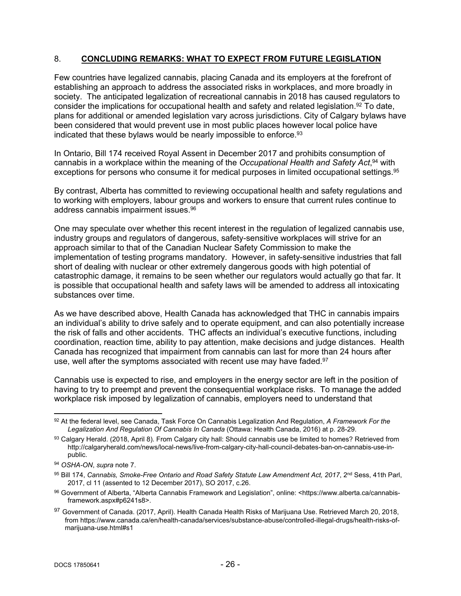#### <span id="page-25-0"></span>8. **CONCLUDING REMARKS: WHAT TO EXPECT FROM FUTURE LEGISLATION**

Few countries have legalized cannabis, placing Canada and its employers at the forefront of establishing an approach to address the associated risks in workplaces, and more broadly in society. The anticipated legalization of recreational cannabis in 2018 has caused regulators to consider the implications for occupational health and safety and related legislation.<sup>92</sup> To date, plans for additional or amended legislation vary across jurisdictions. City of Calgary bylaws have been considered that would prevent use in most public places however local police have indicated that these bylaws would be nearly impossible to enforce.<sup>93</sup>

In Ontario, Bill 174 received Royal Assent in December 2017 and prohibits consumption of cannabis in a workplace within the meaning of the *Occupational Health and Safety Act*, <sup>94</sup> with exceptions for persons who consume it for medical purposes in limited occupational settings.<sup>95</sup>

By contrast, Alberta has committed to reviewing occupational health and safety regulations and to working with employers, labour groups and workers to ensure that current rules continue to address cannabis impairment issues.<sup>96</sup>

One may speculate over whether this recent interest in the regulation of legalized cannabis use, industry groups and regulators of dangerous, safety-sensitive workplaces will strive for an approach similar to that of the Canadian Nuclear Safety Commission to make the implementation of testing programs mandatory. However, in safety-sensitive industries that fall short of dealing with nuclear or other extremely dangerous goods with high potential of catastrophic damage, it remains to be seen whether our regulators would actually go that far. It is possible that occupational health and safety laws will be amended to address all intoxicating substances over time.

As we have described above, Health Canada has acknowledged that THC in cannabis impairs an individual's ability to drive safely and to operate equipment, and can also potentially increase the risk of falls and other accidents. THC affects an individual's executive functions, including coordination, reaction time, ability to pay attention, make decisions and judge distances. Health Canada has recognized that impairment from cannabis can last for more than 24 hours after use, well after the symptoms associated with recent use may have faded.<sup>97</sup>

Cannabis use is expected to rise, and employers in the energy sector are left in the position of having to try to preempt and prevent the consequential workplace risks. To manage the added workplace risk imposed by legalization of cannabis, employers need to understand that

<sup>92</sup> At the federal level, see Canada, Task Force On Cannabis Legalization And Regulation, *A Framework For the Legalization And Regulation Of Cannabis In Canada* (Ottawa: Health Canada, 2016) at p. 28-29.

<sup>93</sup> Calgary Herald. (2018, April 8). From Calgary city hall: Should cannabis use be limited to homes? Retrieved from http://calgaryherald.com/news/local-news/live-from-calgary-city-hall-council-debates-ban-on-cannabis-use-inpublic.

<sup>94</sup> *OSHA-ON*, *supra* note 7.

<sup>95</sup> Bill 174, Cannabis, Smoke-Free Ontario and Road Safety Statute Law Amendment Act, 2017, 2<sup>nd</sup> Sess, 41th Parl, 2017, cl 11 (assented to 12 December 2017), SO 2017, c.26.

<sup>96</sup> Government of Alberta, "Alberta Cannabis Framework and Legislation", online: <https://www.alberta.ca/cannabisframework.aspx#p6241s8>.

<sup>97</sup> Government of Canada. (2017, April). Health Canada Health Risks of Marijuana Use. Retrieved March 20, 2018, from https://www.canada.ca/en/health-canada/services/substance-abuse/controlled-illegal-drugs/health-risks-ofmarijuana-use.html#s1